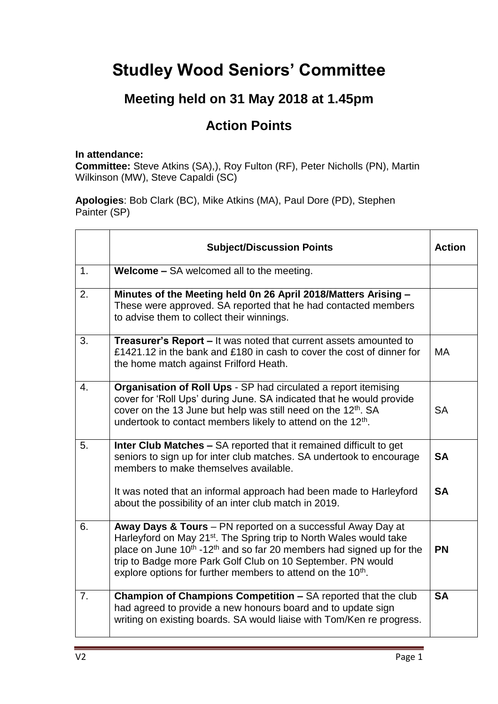## **Studley Wood Seniors' Committee**

## **Meeting held on 31 May 2018 at 1.45pm**

## **Action Points**

## **In attendance:**

**Committee:** Steve Atkins (SA),), Roy Fulton (RF), Peter Nicholls (PN), Martin Wilkinson (MW), Steve Capaldi (SC)

**Apologies**: Bob Clark (BC), Mike Atkins (MA), Paul Dore (PD), Stephen Painter (SP)

|                | <b>Subject/Discussion Points</b>                                                                                                                                                                                                                                                                                                                                                 | <b>Action</b> |
|----------------|----------------------------------------------------------------------------------------------------------------------------------------------------------------------------------------------------------------------------------------------------------------------------------------------------------------------------------------------------------------------------------|---------------|
| 1.             | <b>Welcome - SA welcomed all to the meeting.</b>                                                                                                                                                                                                                                                                                                                                 |               |
| 2.             | Minutes of the Meeting held 0n 26 April 2018/Matters Arising -<br>These were approved. SA reported that he had contacted members<br>to advise them to collect their winnings.                                                                                                                                                                                                    |               |
| 3.             | Treasurer's Report - It was noted that current assets amounted to<br>£1421.12 in the bank and £180 in cash to cover the cost of dinner for<br>the home match against Frilford Heath.                                                                                                                                                                                             | <b>MA</b>     |
| 4.             | Organisation of Roll Ups - SP had circulated a report itemising<br>cover for 'Roll Ups' during June. SA indicated that he would provide<br>cover on the 13 June but help was still need on the 12 <sup>th</sup> . SA<br>undertook to contact members likely to attend on the 12 <sup>th</sup> .                                                                                  | <b>SA</b>     |
| 5.             | <b>Inter Club Matches - SA reported that it remained difficult to get</b><br>seniors to sign up for inter club matches. SA undertook to encourage<br>members to make themselves available.                                                                                                                                                                                       | <b>SA</b>     |
|                | It was noted that an informal approach had been made to Harleyford<br>about the possibility of an inter club match in 2019.                                                                                                                                                                                                                                                      | <b>SA</b>     |
| 6.             | Away Days & Tours - PN reported on a successful Away Day at<br>Harleyford on May 21 <sup>st</sup> . The Spring trip to North Wales would take<br>place on June $10^{th}$ -12 <sup>th</sup> and so far 20 members had signed up for the<br>trip to Badge more Park Golf Club on 10 September. PN would<br>explore options for further members to attend on the 10 <sup>th</sup> . | <b>PN</b>     |
| 7 <sub>1</sub> | Champion of Champions Competition - SA reported that the club<br>had agreed to provide a new honours board and to update sign<br>writing on existing boards. SA would liaise with Tom/Ken re progress.                                                                                                                                                                           | <b>SA</b>     |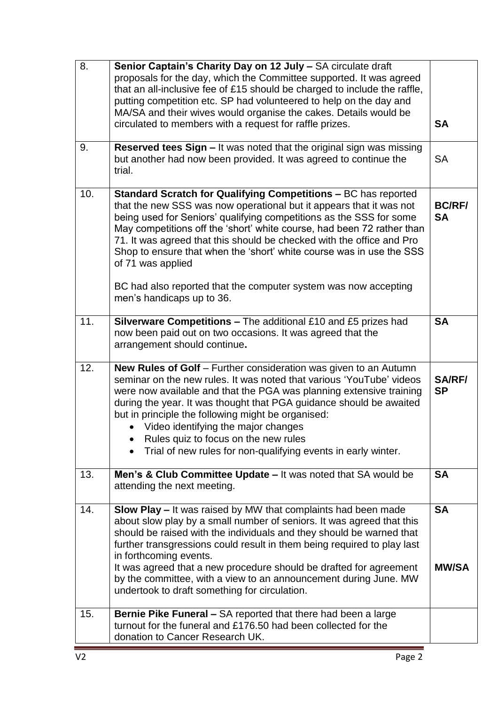| 8.  | Senior Captain's Charity Day on 12 July - SA circulate draft<br>proposals for the day, which the Committee supported. It was agreed<br>that an all-inclusive fee of £15 should be charged to include the raffle,<br>putting competition etc. SP had volunteered to help on the day and<br>MA/SA and their wives would organise the cakes. Details would be<br>circulated to members with a request for raffle prizes.                                                                                                                                        | <b>SA</b>                  |
|-----|--------------------------------------------------------------------------------------------------------------------------------------------------------------------------------------------------------------------------------------------------------------------------------------------------------------------------------------------------------------------------------------------------------------------------------------------------------------------------------------------------------------------------------------------------------------|----------------------------|
| 9.  | Reserved tees Sign - It was noted that the original sign was missing<br>but another had now been provided. It was agreed to continue the<br>trial.                                                                                                                                                                                                                                                                                                                                                                                                           | <b>SA</b>                  |
| 10. | Standard Scratch for Qualifying Competitions - BC has reported<br>that the new SSS was now operational but it appears that it was not<br>being used for Seniors' qualifying competitions as the SSS for some<br>May competitions off the 'short' white course, had been 72 rather than<br>71. It was agreed that this should be checked with the office and Pro<br>Shop to ensure that when the 'short' white course was in use the SSS<br>of 71 was applied<br>BC had also reported that the computer system was now accepting<br>men's handicaps up to 36. | <b>BC/RF/</b><br><b>SA</b> |
| 11. | <b>Silverware Competitions - The additional £10 and £5 prizes had</b><br>now been paid out on two occasions. It was agreed that the<br>arrangement should continue.                                                                                                                                                                                                                                                                                                                                                                                          | <b>SA</b>                  |
| 12. | New Rules of Golf - Further consideration was given to an Autumn<br>seminar on the new rules. It was noted that various 'YouTube' videos<br>were now available and that the PGA was planning extensive training<br>during the year. It was thought that PGA guidance should be awaited<br>but in principle the following might be organised:<br>• Video identifying the major changes<br>Rules quiz to focus on the new rules<br>Trial of new rules for non-qualifying events in early winter.                                                               | <b>SA/RF/</b><br><b>SP</b> |
| 13. | Men's & Club Committee Update - It was noted that SA would be<br>attending the next meeting.                                                                                                                                                                                                                                                                                                                                                                                                                                                                 | <b>SA</b>                  |
| 14. | <b>Slow Play - It was raised by MW that complaints had been made</b><br>about slow play by a small number of seniors. It was agreed that this<br>should be raised with the individuals and they should be warned that<br>further transgressions could result in them being required to play last<br>in forthcoming events.<br>It was agreed that a new procedure should be drafted for agreement<br>by the committee, with a view to an announcement during June. MW<br>undertook to draft something for circulation.                                        | <b>SA</b><br><b>MW/SA</b>  |
| 15. | Bernie Pike Funeral - SA reported that there had been a large<br>turnout for the funeral and £176.50 had been collected for the<br>donation to Cancer Research UK.                                                                                                                                                                                                                                                                                                                                                                                           |                            |